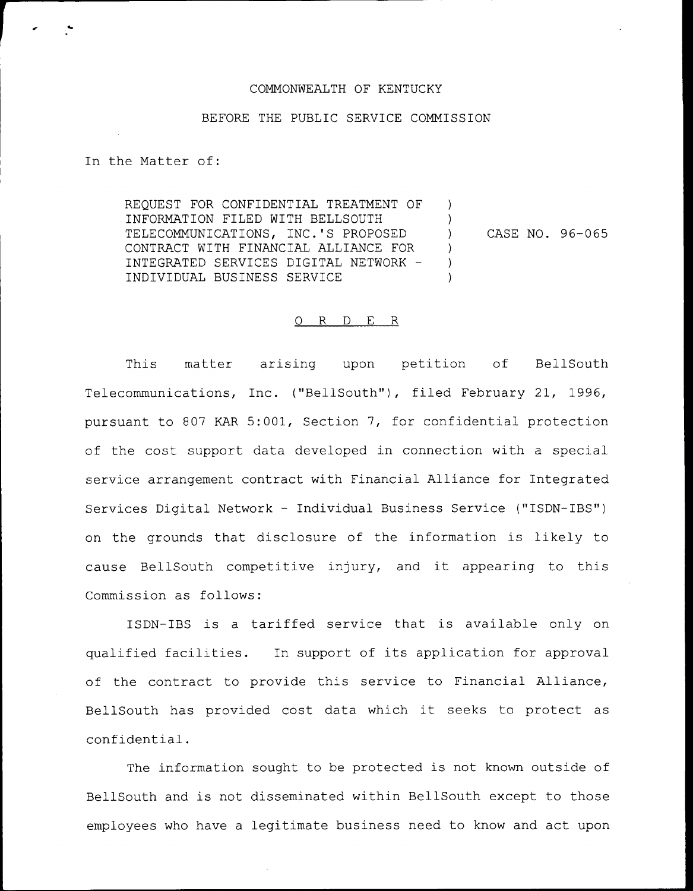## COMMONWEALTH OF KENTUCKY

## BEFORE THE PUBLIC SERVICE COMMISSION

In the Matter of:

REQUEST FOR CONFIDENTIAL TREATMENT OF INFORMATION FILED WITH BELLSOUTH TELECOMMUNICATIONS, INC.'S PROPOSED CONTRACT WITH FINANCIAL ALLIANCE FOR INTEGRATED SERVICES DIGITAL NETWORK INDIVIDUAL BUSINESS SERVICE ) ) ) CASE NO. 96-065  $\left( \right)$ ) )

## 0 R <sup>D</sup> E R

This matter arising upon petition of BellSouth Telecommunications, Inc. ("BellSouth"), filed February 21, 1996, pursuant to 807 KAR 5:001, Section 7, for confidential protection of the cost support data developed in connection with a special service arrangement contract with Financial Alliance for Integrated Services Digital Network — Individual Business Service ("ISDN-IBS") on the grounds that disclosure of the information is likely to cause BellSouth competitive injury, and it appearing to this Commission as follows:

ISDN-IBS is <sup>a</sup> tariffed service that is available only on qualified facilities. In support of its application for approval of the contract to provide this service to Financial Alliance, BellSouth has provided cost data which it seeks to protect as confidential.

The information sought to be protected is not known outside of BellSouth and is not disseminated within BellSouth except to those employees who have a legitimate business need to know and act upon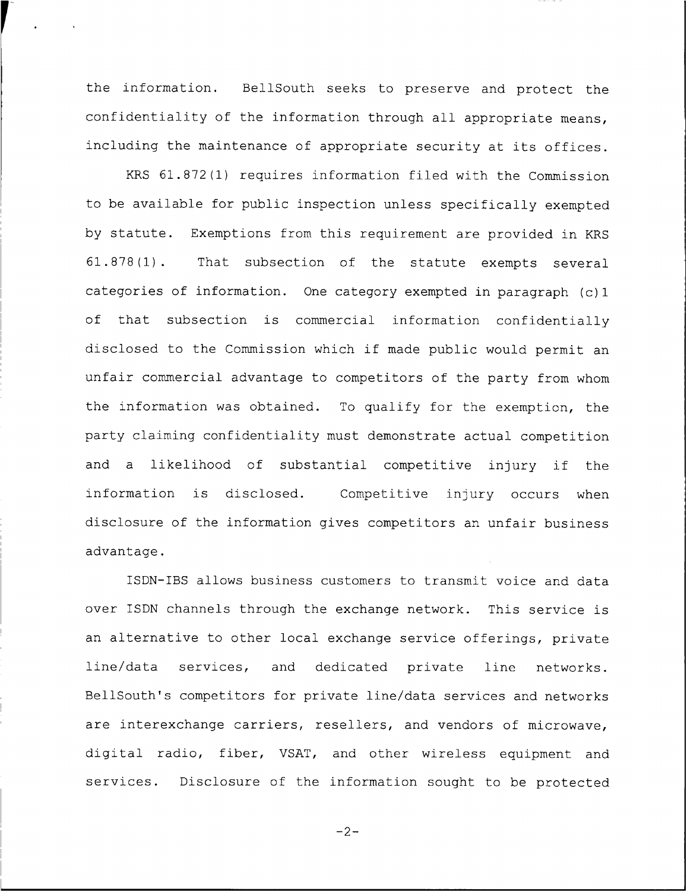the information. BellSouth seeks to preserve and protect the confidentiality of the information through all appropriate means, including the maintenance of appropriate security at its offices.

KRS 61.872(1) requires information filed with the Commission to be available for public inspection unless specifically exempted by statute. Exemptions from this requirement are provided in KRS 61.878(1). That subsection of the statute exempts several categories of information. One category exempted in paragraph (c) <sup>1</sup> of that subsection is commercial information confidentially disclosed to the Commission which if made public would permit an unfair commercial advantage to competitors of the party from whom the information was obtained. To qualify for the exemption, the party claiming confidentiality must demonstrate actual competition and <sup>a</sup> likelihood of substantial competitive injury if the in formation is disclosed. Competitive injury occurs when disclosure of the information gives competitors an unfair business advantage.

ISDN-IBS allows business customers to transmit voice and data over ISDN channels through the exchange network. This service is an alternative to other local exchange service offerings, private line/data services, and dedicated private line networks. BellSouth's competitors for private line/data services and networks are interexchange carriers, resellers, and vendors of microwave, digital radio, fiber, VSAT, and other wireless equipment and services. Disclosure of the information sought to be protected

 $-2-$